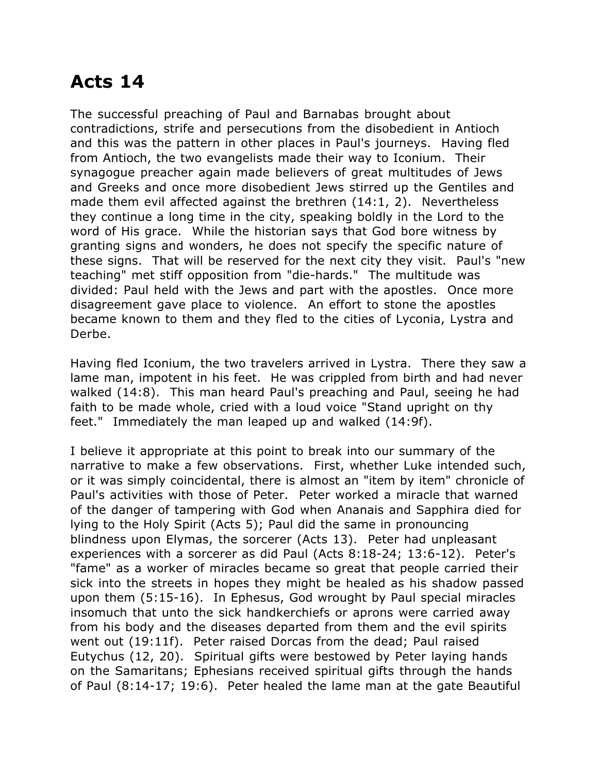## **Acts 14**

The successful preaching of Paul and Barnabas brought about contradictions, strife and persecutions from the disobedient in Antioch and this was the pattern in other places in Paul's journeys. Having fled from Antioch, the two evangelists made their way to Iconium. Their synagogue preacher again made believers of great multitudes of Jews and Greeks and once more disobedient Jews stirred up the Gentiles and made them evil affected against the brethren (14:1, 2). Nevertheless they continue a long time in the city, speaking boldly in the Lord to the word of His grace. While the historian says that God bore witness by granting signs and wonders, he does not specify the specific nature of these signs. That will be reserved for the next city they visit. Paul's "new teaching" met stiff opposition from "die-hards." The multitude was divided: Paul held with the Jews and part with the apostles. Once more disagreement gave place to violence. An effort to stone the apostles became known to them and they fled to the cities of Lyconia, Lystra and Derbe.

Having fled Iconium, the two travelers arrived in Lystra. There they saw a lame man, impotent in his feet. He was crippled from birth and had never walked (14:8). This man heard Paul's preaching and Paul, seeing he had faith to be made whole, cried with a loud voice "Stand upright on thy feet." Immediately the man leaped up and walked (14:9f).

I believe it appropriate at this point to break into our summary of the narrative to make a few observations. First, whether Luke intended such, or it was simply coincidental, there is almost an "item by item" chronicle of Paul's activities with those of Peter. Peter worked a miracle that warned of the danger of tampering with God when Ananais and Sapphira died for lying to the Holy Spirit (Acts 5); Paul did the same in pronouncing blindness upon Elymas, the sorcerer (Acts 13). Peter had unpleasant experiences with a sorcerer as did Paul (Acts 8:18-24; 13:6-12). Peter's "fame" as a worker of miracles became so great that people carried their sick into the streets in hopes they might be healed as his shadow passed upon them (5:15-16). In Ephesus, God wrought by Paul special miracles insomuch that unto the sick handkerchiefs or aprons were carried away from his body and the diseases departed from them and the evil spirits went out (19:11f). Peter raised Dorcas from the dead; Paul raised Eutychus (12, 20). Spiritual gifts were bestowed by Peter laying hands on the Samaritans; Ephesians received spiritual gifts through the hands of Paul (8:14-17; 19:6). Peter healed the lame man at the gate Beautiful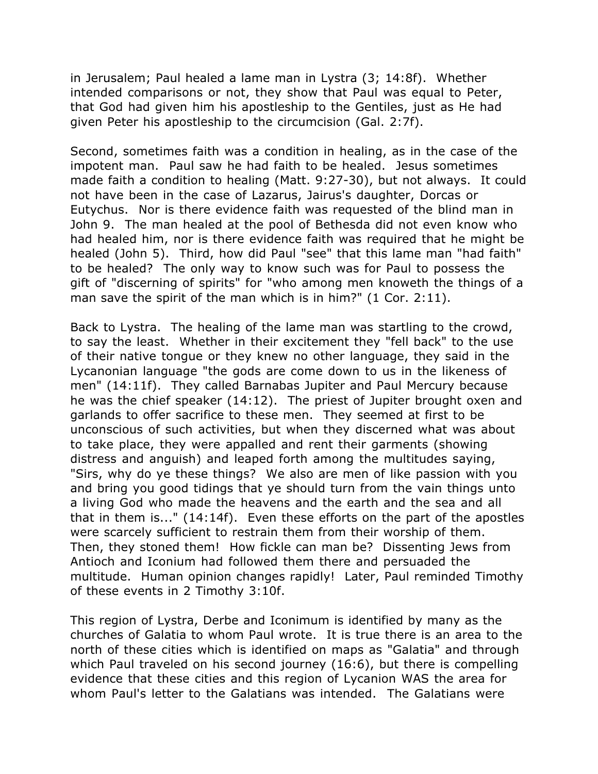in Jerusalem; Paul healed a lame man in Lystra (3; 14:8f). Whether intended comparisons or not, they show that Paul was equal to Peter, that God had given him his apostleship to the Gentiles, just as He had given Peter his apostleship to the circumcision (Gal. 2:7f).

Second, sometimes faith was a condition in healing, as in the case of the impotent man. Paul saw he had faith to be healed. Jesus sometimes made faith a condition to healing (Matt. 9:27-30), but not always. It could not have been in the case of Lazarus, Jairus's daughter, Dorcas or Eutychus. Nor is there evidence faith was requested of the blind man in John 9. The man healed at the pool of Bethesda did not even know who had healed him, nor is there evidence faith was required that he might be healed (John 5). Third, how did Paul "see" that this lame man "had faith" to be healed? The only way to know such was for Paul to possess the gift of "discerning of spirits" for "who among men knoweth the things of a man save the spirit of the man which is in him?" (1 Cor. 2:11).

Back to Lystra. The healing of the lame man was startling to the crowd, to say the least. Whether in their excitement they "fell back" to the use of their native tongue or they knew no other language, they said in the Lycanonian language "the gods are come down to us in the likeness of men" (14:11f). They called Barnabas Jupiter and Paul Mercury because he was the chief speaker (14:12). The priest of Jupiter brought oxen and garlands to offer sacrifice to these men. They seemed at first to be unconscious of such activities, but when they discerned what was about to take place, they were appalled and rent their garments (showing distress and anguish) and leaped forth among the multitudes saying, "Sirs, why do ye these things? We also are men of like passion with you and bring you good tidings that ye should turn from the vain things unto a living God who made the heavens and the earth and the sea and all that in them is..." (14:14f). Even these efforts on the part of the apostles were scarcely sufficient to restrain them from their worship of them. Then, they stoned them! How fickle can man be? Dissenting Jews from Antioch and Iconium had followed them there and persuaded the multitude. Human opinion changes rapidly! Later, Paul reminded Timothy of these events in 2 Timothy 3:10f.

This region of Lystra, Derbe and Iconimum is identified by many as the churches of Galatia to whom Paul wrote. It is true there is an area to the north of these cities which is identified on maps as "Galatia" and through which Paul traveled on his second journey (16:6), but there is compelling evidence that these cities and this region of Lycanion WAS the area for whom Paul's letter to the Galatians was intended. The Galatians were